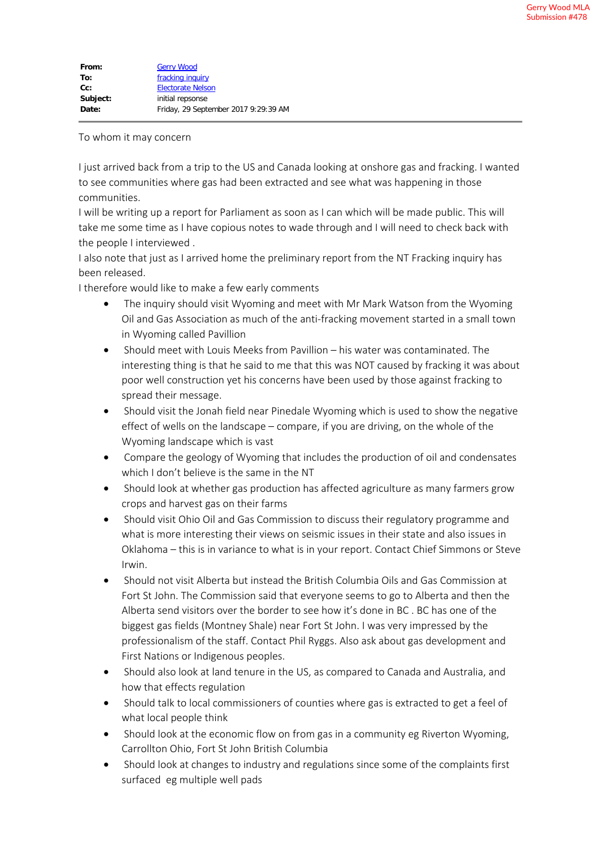## To whom it may concern

I just arrived back from a trip to the US and Canada looking at onshore gas and fracking. I wanted to see communities where gas had been extracted and see what was happening in those communities.

I will be writing up a report for Parliament as soon as I can which will be made public. This will take me some time as I have copious notes to wade through and I will need to check back with the people I interviewed .

I also note that just as I arrived home the preliminary report from the NT Fracking inquiry has been released.

I therefore would like to make a few early comments

- The inquiry should visit Wyoming and meet with Mr Mark Watson from the Wyoming Oil and Gas Association as much of the anti-fracking movement started in a small town in Wyoming called Pavillion
- · Should meet with Louis Meeks from Pavillion his water was contaminated. The interesting thing is that he said to me that this was NOT caused by fracking it was about poor well construction yet his concerns have been used by those against fracking to spread their message.
- Should visit the Jonah field near Pinedale Wyoming which is used to show the negative effect of wells on the landscape – compare, if you are driving, on the whole of the Wyoming landscape which is vast
- · Compare the geology of Wyoming that includes the production of oil and condensates which I don't believe is the same in the NT
- · Should look at whether gas production has affected agriculture as many farmers grow crops and harvest gas on their farms
- · Should visit Ohio Oil and Gas Commission to discuss their regulatory programme and what is more interesting their views on seismic issues in their state and also issues in Oklahoma – this is in variance to what is in your report. Contact Chief Simmons or Steve Irwin.
- · Should not visit Alberta but instead the British Columbia Oils and Gas Commission at Fort St John. The Commission said that everyone seems to go to Alberta and then the Alberta send visitors over the border to see how it's done in BC . BC has one of the biggest gas fields (Montney Shale) near Fort St John. I was very impressed by the professionalism of the staff. Contact Phil Ryggs. Also ask about gas development and First Nations or Indigenous peoples.
- · Should also look at land tenure in the US, as compared to Canada and Australia, and how that effects regulation
- · Should talk to local commissioners of counties where gas is extracted to get a feel of what local people think
- Should look at the economic flow on from gas in a community eg Riverton Wyoming, Carrollton Ohio, Fort St John British Columbia
- · Should look at changes to industry and regulations since some of the complaints first surfaced eg multiple well pads